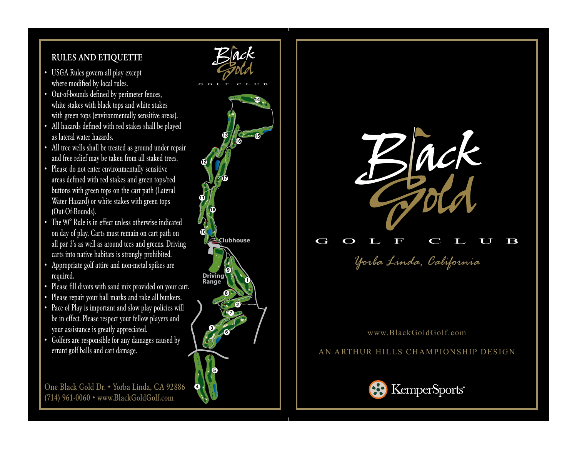## RULES AND ETIQUETTE

- USGA Rules govern all play except where modified by local rules.
- Out-of-bounds defined by perimeter fences, white stakes with black tops and white stakes with green tops (environmentally sensitive areas).
- All hazards defined with red stakes shall be played as lateral water hazards.
- All tree wells shall be treated as ground under repair and free relief may be taken from all staked trees.
- Please do not enter environmentally sensitive areas defined with red stakes and green tops/red buttons with green tops on the cart path (Lateral Water Hazard) or white stakes with green tops (Out-Of-Bounds).
- The 90° Rule is in effect unless otherwise indicated on day of play. Carts must remain on cart path on all par 3's as well as around tees and greens. Driving carts into native habitats is strongly prohibited.
- Appropriate golf attire and non-metal spikes are required.
- Please fill divots with sand mix provided on your cart.
- Please repair your ball marks and rake all bunkers.
- Pace of Play is important and slow play policies will be in effect. Please respect your fellow players and your assistance is greatly appreciated.
- Golfers are responsible for any damages caused by errant golf balls and cart damage.

One Black Gold Dr. • Yorba Linda, CA 92886 (714) 961-0060 • www.BlackGoldGolf.com



 $\mathbf{Z}$ lack



## www.BlackGoldGolf.com

## AN ARTHUR HILLS CHAMPIONSHIP DESIGN